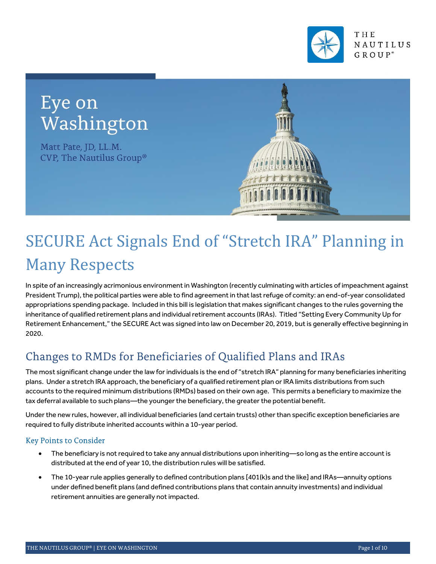

## Eye on Washington

Matt Pate, JD, LL.M. CVP, The Nautilus Group®



# SECURE Act Signals End of "Stretch IRA" Planning in Many Respects

In spite of an increasingly acrimonious environment in Washington (recently culminating with articles of impeachment against President Trump), the political parties were able to find agreement in that last refuge of comity: an end-of-year consolidated appropriations spending package. Included in this bill is legislation that makes significant changes to the rules governing the inheritance of qualified retirement plans and individual retirement accounts (IRAs). Titled "Setting Every Community Up for Retirement Enhancement," the SECURE Act was signed into law on December 20, 2019, but is generally effective beginning in 2020.

## Changes to RMDs for Beneficiaries of Qualified Plans and IRAs

The most significant change under the law for individuals is the end of "stretch IRA" planning for many beneficiaries inheriting plans. Under a stretch IRA approach, the beneficiary of a qualified retirement plan or IRA limits distributions from such accounts to the required minimum distributions (RMDs) based on their own age. This permits a beneficiary to maximize the tax deferral available to such plans—the younger the beneficiary, the greater the potential benefit.

Under the new rules, however, all individual beneficiaries (and certain trusts) other than specific exception beneficiaries are required to fully distribute inherited accounts within a 10-year period.

## **Key Points to Consider**

- The beneficiary is not required to take any annual distributions upon inheriting—so long as the entire account is distributed at the end of year 10, the distribution rules will be satisfied.
- The 10-year rule applies generally to defined contribution plans [401(k)s and the like] and IRAs—annuity options under defined benefit plans (and defined contributions plans that contain annuity investments) and individual retirement annuities are generally not impacted.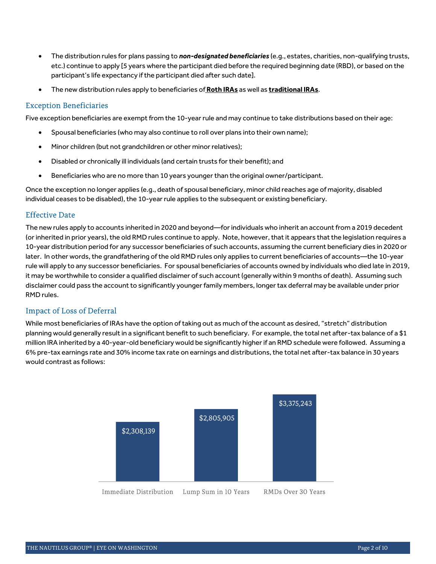- The distribution rules for plans passing to *non-designated beneficiaries* (e.g., estates, charities, non-qualifying trusts, etc.) continue to apply [5 years where the participant died before the required beginning date (RBD), or based on the participant's life expectancy if the participant died after such date].
- The new distribution rules apply to beneficiaries of **Roth IRAs** as well as **traditional IRAs**.

#### **Exception Beneficiaries**

Five exception beneficiaries are exempt from the 10-year rule and may continue to take distributions based on their age:

- Spousal beneficiaries (who may also continue to roll over plans into their own name);
- Minor children (but not grandchildren or other minor relatives);
- Disabled or chronically ill individuals (and certain trusts for their benefit); and
- Beneficiaries who are no more than 10 years younger than the original owner/participant.

Once the exception no longer applies (e.g., death of spousal beneficiary, minor child reaches age of majority, disabled individual ceases to be disabled), the 10-year rule applies to the subsequent or existing beneficiary.

#### **Effective Date**

The new rules apply to accounts inherited in 2020 and beyond—for individuals who inherit an account from a 2019 decedent (or inherited in prior years), the old RMD rules continue to apply. Note, however, that it appears that the legislation requires a 10-year distribution period for any successor beneficiaries of such accounts, assuming the current beneficiary dies in 2020 or later. In other words, the grandfathering of the old RMD rules only applies to current beneficiaries of accounts—the 10-year rule will apply to any successor beneficiaries. For spousal beneficiaries of accounts owned by individuals who died late in 2019, it may be worthwhile to consider a qualified disclaimer of such account (generally within 9 months of death). Assuming such disclaimer could pass the account to significantly younger family members, longer tax deferral may be available under prior RMD rules.

#### **Impact of Loss of Deferral**

While most beneficiaries of IRAs have the option of taking out as much of the account as desired, "stretch" distribution planning would generally result in a significant benefit to such beneficiary. For example, the total net after-tax balance of a \$1 million IRA inherited by a 40-year-old beneficiary would be significantly higher if an RMD schedule were followed. Assuming a 6% pre-tax earnings rate and 30% income tax rate on earnings and distributions, the total net after-tax balance in 30 years would contrast as follows:

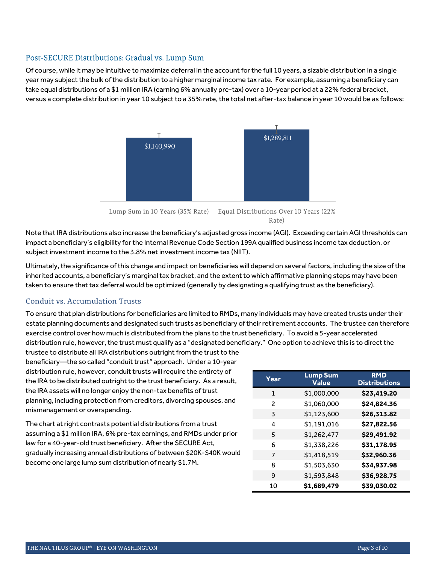### Post-SECURE Distributions: Gradual vs. Lump Sum

Of course, while it may be intuitive to maximize deferral in the account for the full 10 years, a sizable distribution in a single year may subject the bulk of the distribution to a higher marginal income tax rate. For example, assuming a beneficiary can take equal distributions of a \$1 million IRA (earning 6% annually pre-tax) over a 10-year period at a 22% federal bracket, versus a complete distribution in year 10 subject to a 35% rate, the total net after-tax balance in year 10 would be as follows:



Rate)

Note that IRA distributions also increase the beneficiary's adjusted gross income (AGI). Exceeding certain AGI thresholds can impact a beneficiary's eligibility for the Internal Revenue Code Section 199A qualified business income tax deduction, or subject investment income to the 3.8% net investment income tax (NIIT).

Ultimately, the significance of this change and impact on beneficiaries will depend on several factors, including the size of the inherited accounts, a beneficiary's marginal tax bracket, and the extent to which affirmative planning steps may have been taken to ensure that tax deferral would be optimized (generally by designating a qualifying trust as the beneficiary).

## Conduit vs. Accumulation Trusts

To ensure that plan distributions for beneficiaries are limited to RMDs, many individuals may have created trusts under their estate planning documents and designated such trusts as beneficiary of their retirement accounts. The trustee can therefore exercise control over how much is distributed from the plans to the trust beneficiary. To avoid a 5-year accelerated distribution rule, however, the trust must qualify as a "designated beneficiary." One option to achieve this is to direct the

trustee to distribute all IRA distributions outright from the trust to the beneficiary—the so called "conduit trust" approach. Under a 10-year distribution rule, however, conduit trusts will require the entirety of the IRA to be distributed outright to the trust beneficiary. As a result, the IRA assets will no longer enjoy the non-tax benefits of trust planning, including protection from creditors, divorcing spouses, and mismanagement or overspending.

The chart at right contrasts potential distributions from a trust assuming a \$1 million IRA, 6% pre-tax earnings, and RMDs under prior law for a 40-year-old trust beneficiary. After the SECURE Act, gradually increasing annual distributions of between \$20K-\$40K would become one large lump sum distribution of nearly \$1.7M.

| Year | <b>Lump Sum</b><br><b>Value</b> | <b>RMD</b><br><b>Distributions</b> |
|------|---------------------------------|------------------------------------|
| 1    | \$1,000,000                     | \$23,419.20                        |
| 2    | \$1,060,000                     | \$24,824.36                        |
| 3    | \$1,123,600                     | \$26,313.82                        |
| 4    | \$1,191,016                     | \$27,822.56                        |
| 5    | \$1,262,477                     | \$29,491.92                        |
| 6    | \$1,338,226                     | \$31,178.95                        |
| 7    | \$1,418,519                     | \$32,960.36                        |
| 8    | \$1,503,630                     | \$34,937.98                        |
| 9    | \$1,593,848                     | \$36,928.75                        |
| 10   | \$1,689,479                     | \$39,030.02                        |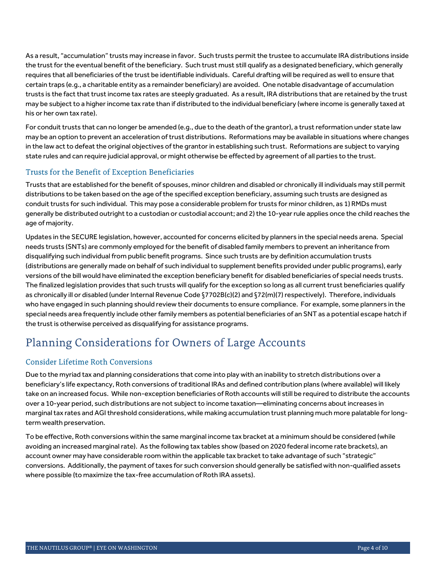As a result, "accumulation" trusts may increase in favor. Such trusts permit the trustee to accumulate IRA distributions inside the trust for the eventual benefit of the beneficiary. Such trust must still qualify as a designated beneficiary, which generally requires that all beneficiaries of the trust be identifiable individuals. Careful drafting will be required as well to ensure that certain traps (e.g., a charitable entity as a remainder beneficiary) are avoided. One notable disadvantage of accumulation trusts is the fact that trust income tax rates are steeply graduated. As a result, IRA distributions that are retained by the trust may be subject to a higher income tax rate than if distributed to the individual beneficiary (where income is generally taxed at his or her own tax rate).

For conduit trusts that can no longer be amended (e.g., due to the death of the grantor), a trust reformation under state law may be an option to prevent an acceleration of trust distributions. Reformations may be available in situations where changes in the law act to defeat the original objectives of the grantor in establishing such trust. Reformations are subject to varying state rules and can require judicial approval, or might otherwise be effected by agreement of all parties to the trust.

## Trusts for the Benefit of Exception Beneficiaries

Trusts that are established for the benefit of spouses, minor children and disabled or chronically ill individuals may still permit distributions to be taken based on the age of the specified exception beneficiary, assuming such trusts are designed as conduit trusts for such individual. This may pose a considerable problem for trusts for minor children, as 1) RMDs must generally be distributed outright to a custodian or custodial account; and 2) the 10-year rule applies once the child reaches the age of majority.

Updates in the SECURE legislation, however, accounted for concerns elicited by planners in the special needs arena. Special needs trusts (SNTs) are commonly employed for the benefit of disabled family members to prevent an inheritance from disqualifying such individual from public benefit programs. Since such trusts are by definition accumulation trusts (distributions are generally made on behalf of such individual to supplement benefits provided under public programs), early versions of the bill would have eliminated the exception beneficiary benefit for disabled beneficiaries of special needs trusts. The finalized legislation provides that such trusts will qualify for the exception so long as all current trust beneficiaries qualify as chronically ill or disabled (under Internal Revenue Code §7702B(c)(2) and §72(m)(7) respectively). Therefore, individuals who have engaged in such planning should review their documents to ensure compliance. For example, some planners in the special needs area frequently include other family members as potential beneficiaries of an SNT as a potential escape hatch if the trust is otherwise perceived as disqualifying for assistance programs.

## Planning Considerations for Owners of Large Accounts

## **Consider Lifetime Roth Conversions**

Due to the myriad tax and planning considerations that come into play with an inability to stretch distributions over a beneficiary's life expectancy, Roth conversions of traditional IRAs and defined contribution plans (where available) will likely take on an increased focus. While non-exception beneficiaries of Roth accounts will still be required to distribute the accounts over a 10-year period, such distributions are not subject to income taxation—eliminating concerns about increases in marginal tax rates and AGI threshold considerations, while making accumulation trust planning much more palatable for longterm wealth preservation.

To be effective, Roth conversions within the same marginal income tax bracket at a minimum should be considered (while avoiding an increased marginal rate). As the following tax tables show (based on 2020 federal income rate brackets), an account owner may have considerable room within the applicable tax bracket to take advantage of such "strategic" conversions. Additionally, the payment of taxes for such conversion should generally be satisfied with non-qualified assets where possible (to maximize the tax-free accumulation of Roth IRA assets).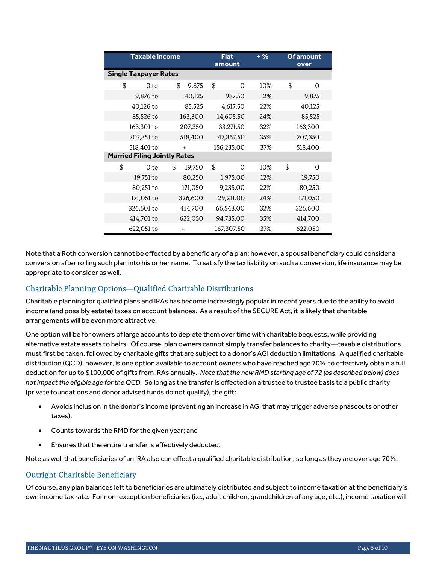| <b>Taxable income</b>               |                              |         | <b>Flat</b><br>amount |    | $+ 9/6$    | <b>Of amount</b><br>over |         |         |  |  |
|-------------------------------------|------------------------------|---------|-----------------------|----|------------|--------------------------|---------|---------|--|--|
|                                     | <b>Single Taxpayer Rates</b> |         |                       |    |            |                          |         |         |  |  |
| \$                                  | 0 to                         | \$      | 9,875                 | \$ | $\Omega$   | 10%                      | \$      | 0       |  |  |
|                                     | 9,876 to                     |         | 40,125                |    | 987.50     | 12%                      |         | 9,875   |  |  |
|                                     | 40,126 to                    |         | 85,525                |    | 4,617.50   | 22%                      |         | 40,125  |  |  |
|                                     | 85,526 to                    | 163,300 |                       |    | 14,605.50  | 24%                      |         | 85,525  |  |  |
|                                     | 163,301 to                   |         | 207,350               |    | 33,271.50  | 32%                      |         | 163,300 |  |  |
|                                     | 207,351 to                   |         | 518,400               |    | 47,367.50  | 35%                      |         | 207,350 |  |  |
|                                     | 518,401 to                   |         | $+$                   |    | 156,235.00 | 37%                      | 518,400 |         |  |  |
| <b>Married Filing Jointly Rates</b> |                              |         |                       |    |            |                          |         |         |  |  |
| \$                                  | 0 to                         | \$      | 19,750                | \$ | $\Omega$   | 10%                      | \$      | 0       |  |  |
|                                     | 19,751 to                    |         | 80,250                |    | 1,975.00   | 12%                      |         | 19,750  |  |  |
|                                     | 80,251 to                    |         | 171,050               |    | 9,235.00   | 22%                      |         | 80,250  |  |  |
|                                     | 171,051 to                   |         | 326,600               |    | 29,211.00  | 24%                      |         | 171,050 |  |  |
|                                     | 326,601 to                   |         | 414,700               |    | 66,543.00  | 32%                      |         | 326,600 |  |  |
|                                     | 414,701 to                   |         | 622,050               |    | 94,735.00  | 35%                      |         | 414,700 |  |  |
|                                     | 622,051 to                   |         | $+$                   |    | 167,307.50 | 37%                      |         | 622,050 |  |  |

Note that a Roth conversion cannot be effected by a beneficiary of a plan; however, a spousal beneficiary could consider a conversion after rolling such plan into his or her name. To satisfy the tax liability on such a conversion, life insurance may be appropriate to consider as well.

## Charitable Planning Options-Qualified Charitable Distributions

Charitable planning for qualified plans and IRAs has become increasingly popular in recent years due to the ability to avoid income (and possibly estate) taxes on account balances. As a result of the SECURE Act, it is likely that charitable arrangements will be even more attractive.

One option will be for owners of large accounts to deplete them over time with charitable bequests, while providing alternative estate assets to heirs. Of course, plan owners cannot simply transfer balances to charity—taxable distributions must first be taken, followed by charitable gifts that are subject to a donor's AGI deduction limitations. A qualified charitable distribution (QCD), however, is one option available to account owners who have reached age 70½ to effectively obtain a full deduction for up to \$100,000 of gifts from IRAs annually. *Note that the new RMD starting age of 72 (as described below) does not impact the eligible age for the QCD.* So long as the transfer is effected on a trustee to trustee basis to a public charity (private foundations and donor advised funds do not qualify), the gift:

- Avoids inclusion in the donor's income (preventing an increase in AGI that may trigger adverse phaseouts or other taxes);
- Counts towards the RMD for the given year; and
- Ensures that the entire transfer is effectively deducted.

Note as well that beneficiaries of an IRA also can effect a qualified charitable distribution, so long as they are over age 701/2.

#### Outright Charitable Beneficiary

Of course, any plan balances left to beneficiaries are ultimately distributed and subject to income taxation at the beneficiary's own income tax rate. For non-exception beneficiaries (i.e., adult children, grandchildren of any age, etc.), income taxation will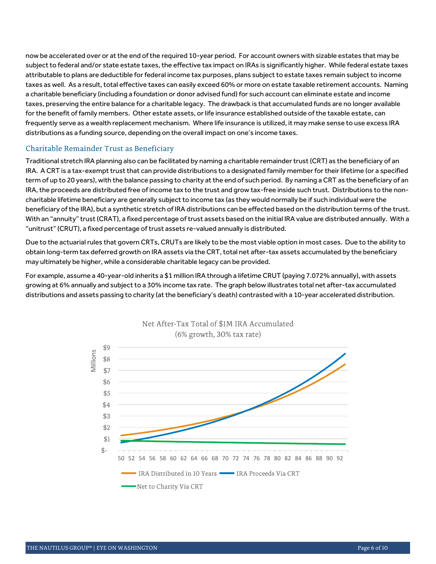now be accelerated over or at the end of the required 10-year period. For account owners with sizable estates that may be subject to federal and/or state estate taxes, the effective tax impact on IRAs is significantly higher. While federal estate taxes attributable to plans are deductible for federal income tax purposes, plans subject to estate taxes remain subject to income taxes as well. As a result, total effective taxes can easily exceed 60% or more on estate taxable retirement accounts. Naming a charitable beneficiary (including a foundation or donor advised fund) for such account can eliminate estate and income taxes, preserving the entire balance for a charitable legacy. The drawback is that accumulated funds are no longer available for the benefit of family members. Other estate assets, or life insurance established outside of the taxable estate, can frequently serve as a wealth replacement mechanism. Where life insurance is utilized, it may make sense to use excess IRA distributions as a funding source, depending on the overall impact on one's income taxes.

#### Charitable Remainder Trust as Beneficiary

Traditional stretch IRA planning also can be facilitated by naming a charitable remainder trust (CRT) as the beneficiary of an IRA. A CRT is a tax-exempt trust that can provide distributions to a designated family member for their lifetime (or a specified term of up to 20 years), with the balance passing to charity at the end of such period. By naming a CRT as the beneficiary of an IRA, the proceeds are distributed free of income tax to the trust and grow tax-free inside such trust. Distributions to the noncharitable lifetime beneficiary are generally subject to income tax (as they would normally be if such individual were the beneficiary of the IRA), but a synthetic stretch of IRA distributions can be effected based on the distribution terms of the trust. With an "annuity" trust (CRAT), a fixed percentage of trust assets based on the initial IRA value are distributed annually. With a "unitrust" (CRUT), a fixed percentage of trust assets re-valued annually is distributed.

Due to the actuarial rules that govern CRTs, CRUTs are likely to be the most viable option in most cases. Due to the ability to obtain long-term tax deferred growth on IRA assets via the CRT, total net after-tax assets accumulated by the beneficiary may ultimately be higher, while a considerable charitable legacy can be provided.

For example, assume a 40-year-old inherits a \$1 million IRA through a lifetime CRUT (paying 7.072% annually), with assets growing at 6% annually and subject to a 30% income tax rate. The graph below illustrates total net after-tax accumulated distributions and assets passing to charity (at the beneficiary's death) contrasted with a 10-year accelerated distribution.



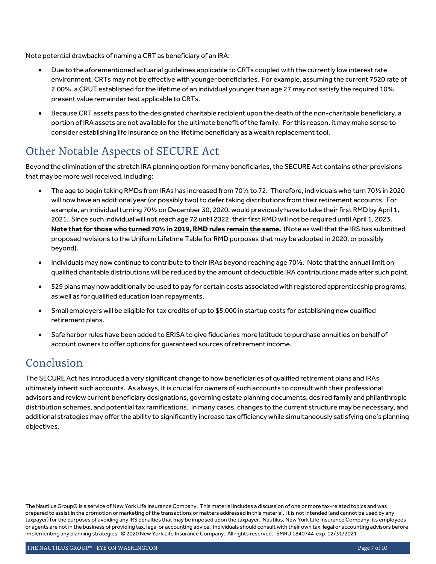Note potential drawbacks of naming a CRT as beneficiary of an IRA:

- Due to the aforementioned actuarial guidelines applicable to CRTs coupled with the currently low interest rate environment, CRTs may not be effective with younger beneficiaries. For example, assuming the current 7520 rate of 2.00%, a CRUT established for the lifetime of an individual younger than age 27 may not satisfy the required 10% present value remainder test applicable to CRTs.
- Because CRT assets pass to the designated charitable recipient upon the death of the non-charitable beneficiary, a portion of IRA assets are not available for the ultimate benefit of the family. For this reason, it may make sense to consider establishing life insurance on the lifetime beneficiary as a wealth replacement tool.

## Other Notable Aspects of SECURE Act

Beyond the elimination of the stretch IRA planning option for many beneficiaries, the SECURE Act contains other provisions that may be more well received, including:

- The age to begin taking RMDs from IRAs has increased from 70½ to 72. Therefore, individuals who turn 70½ in 2020 will now have an additional year (or possibly two) to defer taking distributions from their retirement accounts. For example, an individual turning 70½ on December 30, 2020, would previously have to take their first RMD by April 1, 2021. Since such individual will not reach age 72 until 2022, their first RMD will not be required until April 1, 2023. **Note that for those who turned 70½ in 2019, RMD rules remain the same.** (Note as well that the IRS has submitted proposed revisions to the Uniform Lifetime Table for RMD purposes that may be adopted in 2020, or possibly beyond).
- Individuals may now continue to contribute to their IRAs beyond reaching age 70½. Note that the annual limit on qualified charitable distributions will be reduced by the amount of deductible IRA contributions made after such point.
- 529 plans may now additionally be used to pay for certain costs associated with registered apprenticeship programs, as well as for qualified education loan repayments.
- Small employers will be eligible for tax credits of up to \$5,000 in startup costs for establishing new qualified retirement plans.
- Safe harbor rules have been added to ERISA to give fiduciaries more latitude to purchase annuities on behalf of account owners to offer options for guaranteed sources of retirement income.

## Conclusion

The SECURE Act has introduced a very significant change to how beneficiaries of qualified retirement plans and IRAs ultimately inherit such accounts. As always, it is crucial for owners of such accounts to consult with their professional advisors and review current beneficiary designations, governing estate planning documents, desired family and philanthropic distribution schemes, and potential tax ramifications. In many cases, changes to the current structure may be necessary, and additional strategies may offer the ability to significantly increase tax efficiency while simultaneously satisfying one's planning objectives.

The Nautilus Group® is a service of New York Life Insurance Company. This material includes a discussion of one or more tax-related topics and was prepared to assist in the promotion or marketing of the transactions or matters addressed in this material. It is not intended (and cannot be used by any taxpayer) for the purposes of avoiding any IRS penalties that may be imposed upon the taxpayer. Nautilus, New York Life Insurance Company, its employees or agents are not in the business of providing tax, legal or accounting advice. Individuals should consult with their own tax, legal or accounting advisors before implementing any planning strategies. © 2020 New York Life Insurance Company. All rights reserved. SMRU 1840744 exp. 12/31/2021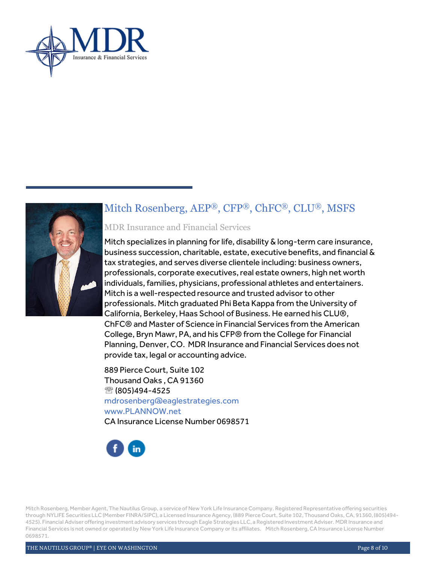



## Mitch Rosenberg, AEP®, CFP®, ChFC®, CLU®, MSFS

## MDR Insurance and Financial Services

Mitch specializes in planning for life, disability & long-term care insurance, business succession, charitable, estate, executive benefits, and financial & tax strategies, and serves diverse clientele including: business owners, professionals, corporate executives, real estate owners, high net worth individuals, families, physicians, professional athletes and entertainers. Mitch is a well-respected resource and trusted advisor to other professionals. Mitch graduated Phi Beta Kappa from the University of California, Berkeley, Haas School of Business. He earned his CLU®, ChFC® and Master of Science in Financial Services from the American College, Bryn Mawr, PA, and his CFP® from the College for Financial Planning, Denver, CO. MDR Insurance and Financial Services does not provide tax, legal or accounting advice.

889 Pierce Court, Suite 102 Thousand Oaks , CA 91360  $\circledR$  (805)494-4525 mdrosenberg@eaglestrategies.com www.PLANNOW.net CA Insurance License Number 0698571



Mitch Rosenberg, Member Agent, The Nautilus Group, a service of New York Life Insurance Company. Registered Representative offering securities through NYLIFE Securities LLC (Member FINRA/SIPC), a Licensed Insurance Agency, (889 Pierce Court, Suite 102, Thousand Oaks, CA, 91360, (805)494- 4525). Financial Adviser offering investment advisory services through Eagle Strategies LLC, a Registered Investment Adviser. MDR Insurance and Financial Services is not owned or operated by New York Life Insurance Company or its affiliates. Mitch Rosenberg, CA Insurance License Number 0698571.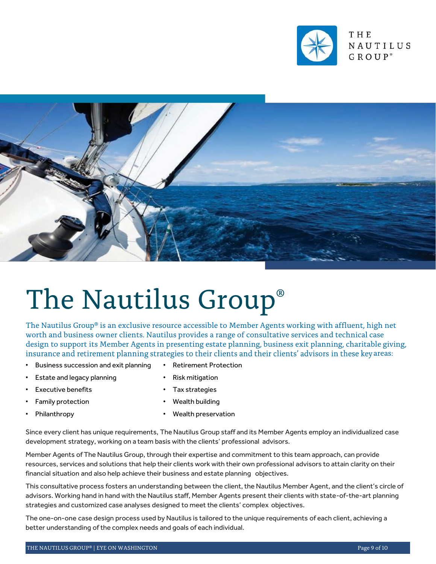



# The Nautilus Group®

The Nautilus Group® is an exclusive resource accessible to Member Agents working with affluent, high net worth and business owner clients. Nautilus provides a range of consultative services and technical case design to support its Member Agents in presenting estate planning, business exit planning, charitable giving, insurance and retirement planning strategies to their clients and their clients' advisors in these key areas:

- Business succession and exit planning Retirement Protection
- 
- **Estate and legacy planning Risk mitigation**
- Executive benefits **•** Tax strategies
- 
- 
- 
- 
- Family protection Wealth building
- Philanthropy Wealth preservation

Since every client has unique requirements, The Nautilus Group staff and its Member Agents employ an individualized case development strategy, working on a team basis with the clients' professional advisors.

Member Agents of The Nautilus Group, through their expertise and commitment to this team approach, can provide resources, services and solutions that help their clients work with their own professional advisors to attain clarity on their financial situation and also help achieve their business and estate planning objectives.

This consultative process fosters an understanding between the client, the Nautilus Member Agent, and the client's circle of advisors. Working hand in hand with the Nautilus staff, Member Agents present their clients with state-of-the-art planning strategies and customized case analyses designed to meet the clients' complex objectives.

The one-on-one case design process used by Nautilus is tailored to the unique requirements of each client, achieving a better understanding of the complex needs and goals of each individual.